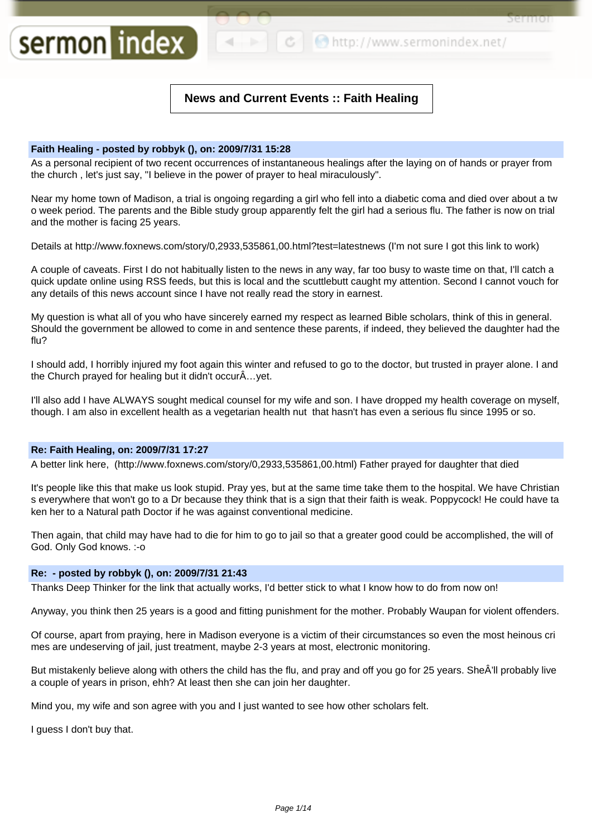**¢ b** http://www.sermonindex.net/

Sel ITIOI

# **News and Current Events :: Faith Healing**

# **Faith Healing - posted by robbyk (), on: 2009/7/31 15:28**

sermon index

As a personal recipient of two recent occurrences of instantaneous healings after the laying on of hands or prayer from the church , let's just say, "I believe in the power of prayer to heal miraculously".

Near my home town of Madison, a trial is ongoing regarding a girl who fell into a diabetic coma and died over about a tw o week period. The parents and the Bible study group apparently felt the girl had a serious flu. The father is now on trial and the mother is facing 25 years.

Details at http://www.foxnews.com/story/0,2933,535861,00.html?test=latestnews (I'm not sure I got this link to work)

A couple of caveats. First I do not habitually listen to the news in any way, far too busy to waste time on that, I'll catch a quick update online using RSS feeds, but this is local and the scuttlebutt caught my attention. Second I cannot vouch for any details of this news account since I have not really read the story in earnest.

My question is what all of you who have sincerely earned my respect as learned Bible scholars, think of this in general. Should the government be allowed to come in and sentence these parents, if indeed, they believed the daughter had the flu?

I should add, I horribly injured my foot again this winter and refused to go to the doctor, but trusted in prayer alone. I and the Church prayed for healing but it didn't occurÂ…yet.

I'll also add I have ALWAYS sought medical counsel for my wife and son. I have dropped my health coverage on myself, though. I am also in excellent health as a vegetarian health nut that hasn't has even a serious flu since 1995 or so.

# **Re: Faith Healing, on: 2009/7/31 17:27**

A better link here, (http://www.foxnews.com/story/0,2933,535861,00.html) Father prayed for daughter that died

It's people like this that make us look stupid. Pray yes, but at the same time take them to the hospital. We have Christian s everywhere that won't go to a Dr because they think that is a sign that their faith is weak. Poppycock! He could have ta ken her to a Natural path Doctor if he was against conventional medicine.

Then again, that child may have had to die for him to go to jail so that a greater good could be accomplished, the will of God. Only God knows. :-o

# **Re: - posted by robbyk (), on: 2009/7/31 21:43**

Thanks Deep Thinker for the link that actually works, I'd better stick to what I know how to do from now on!

Anyway, you think then 25 years is a good and fitting punishment for the mother. Probably Waupan for violent offenders.

Of course, apart from praying, here in Madison everyone is a victim of their circumstances so even the most heinous cri mes are undeserving of jail, just treatment, maybe 2-3 years at most, electronic monitoring.

But mistakenly believe along with others the child has the flu, and pray and off you go for 25 years. SheÂ'll probably live a couple of years in prison, ehh? At least then she can join her daughter.

Mind you, my wife and son agree with you and I just wanted to see how other scholars felt.

I guess I don't buy that.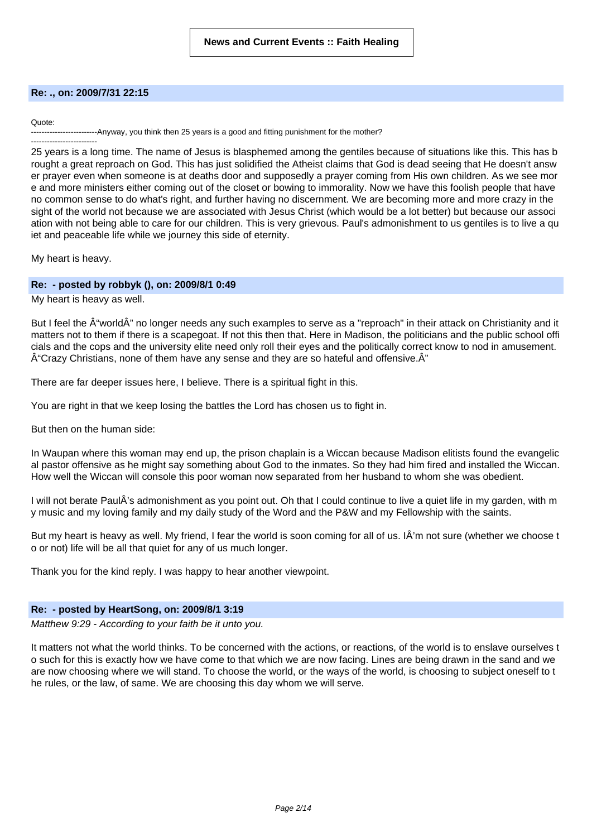### **Re: ., on: 2009/7/31 22:15**

### Quote:

----Anyway, you think then 25 years is a good and fitting punishment for the mother?

------------------------- 25 years is a long time. The name of Jesus is blasphemed among the gentiles because of situations like this. This has b rought a great reproach on God. This has just solidified the Atheist claims that God is dead seeing that He doesn't answ er prayer even when someone is at deaths door and supposedly a prayer coming from His own children. As we see mor e and more ministers either coming out of the closet or bowing to immorality. Now we have this foolish people that have no common sense to do what's right, and further having no discernment. We are becoming more and more crazy in the sight of the world not because we are associated with Jesus Christ (which would be a lot better) but because our associ ation with not being able to care for our children. This is very grievous. Paul's admonishment to us gentiles is to live a qu iet and peaceable life while we journey this side of eternity.

My heart is heavy.

# **Re: - posted by robbyk (), on: 2009/8/1 0:49**

My heart is heavy as well.

But I feel the  $\hat{A}$ "world $\hat{A}$ " no longer needs any such examples to serve as a "reproach" in their attack on Christianity and it matters not to them if there is a scapegoat. If not this then that. Here in Madison, the politicians and the public school offi cials and the cops and the university elite need only roll their eyes and the politically correct know to nod in amusement.  $\hat{A}$ "Crazy Christians, none of them have any sense and they are so hateful and offensive. $\hat{A}$ "

There are far deeper issues here, I believe. There is a spiritual fight in this.

You are right in that we keep losing the battles the Lord has chosen us to fight in.

But then on the human side:

In Waupan where this woman may end up, the prison chaplain is a Wiccan because Madison elitists found the evangelic al pastor offensive as he might say something about God to the inmates. So they had him fired and installed the Wiccan. How well the Wiccan will console this poor woman now separated from her husband to whom she was obedient.

I will not berate PaulÂ's admonishment as you point out. Oh that I could continue to live a quiet life in my garden, with m y music and my loving family and my daily study of the Word and the P&W and my Fellowship with the saints.

But my heart is heavy as well. My friend, I fear the world is soon coming for all of us. IÂ'm not sure (whether we choose t o or not) life will be all that quiet for any of us much longer.

Thank you for the kind reply. I was happy to hear another viewpoint.

### **Re: - posted by HeartSong, on: 2009/8/1 3:19**

Matthew 9:29 - According to your faith be it unto you.

It matters not what the world thinks. To be concerned with the actions, or reactions, of the world is to enslave ourselves t o such for this is exactly how we have come to that which we are now facing. Lines are being drawn in the sand and we are now choosing where we will stand. To choose the world, or the ways of the world, is choosing to subject oneself to t he rules, or the law, of same. We are choosing this day whom we will serve.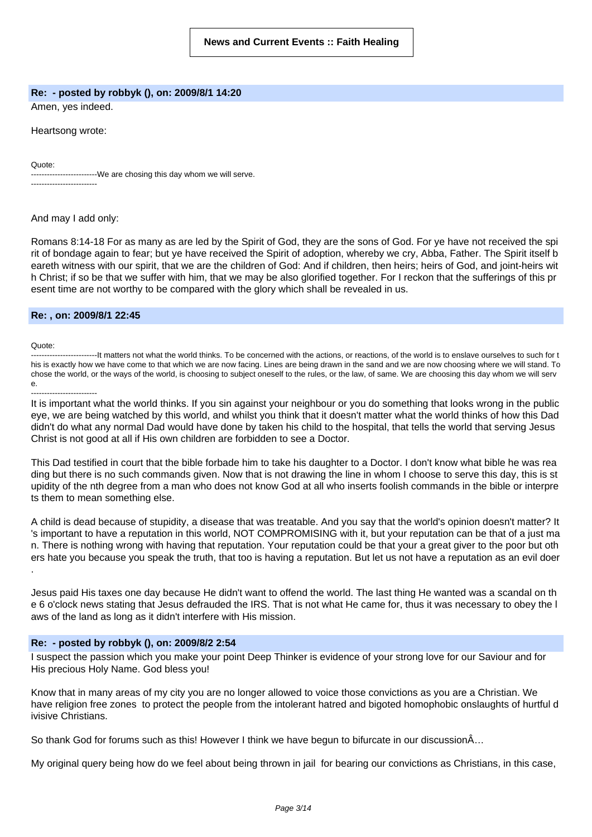### **Re: - posted by robbyk (), on: 2009/8/1 14:20**

Amen, yes indeed.

Heartsong wrote:

Quote:

-------------------------We are chosing this day whom we will serve. -------------------------

### And may I add only:

Romans 8:14-18 For as many as are led by the Spirit of God, they are the sons of God. For ye have not received the spi rit of bondage again to fear; but ye have received the Spirit of adoption, whereby we cry, Abba, Father. The Spirit itself b eareth witness with our spirit, that we are the children of God: And if children, then heirs; heirs of God, and joint-heirs wit h Christ; if so be that we suffer with him, that we may be also glorified together. For I reckon that the sufferings of this pr esent time are not worthy to be compared with the glory which shall be revealed in us.

### **Re: , on: 2009/8/1 22:45**

Quote:

-------------------------It matters not what the world thinks. To be concerned with the actions, or reactions, of the world is to enslave ourselves to such for t his is exactly how we have come to that which we are now facing. Lines are being drawn in the sand and we are now choosing where we will stand. To chose the world, or the ways of the world, is choosing to subject oneself to the rules, or the law, of same. We are choosing this day whom we will serv e.

-------------------------

It is important what the world thinks. If you sin against your neighbour or you do something that looks wrong in the public eye, we are being watched by this world, and whilst you think that it doesn't matter what the world thinks of how this Dad didn't do what any normal Dad would have done by taken his child to the hospital, that tells the world that serving Jesus Christ is not good at all if His own children are forbidden to see a Doctor.

This Dad testified in court that the bible forbade him to take his daughter to a Doctor. I don't know what bible he was rea ding but there is no such commands given. Now that is not drawing the line in whom I choose to serve this day, this is st upidity of the nth degree from a man who does not know God at all who inserts foolish commands in the bible or interpre ts them to mean something else.

A child is dead because of stupidity, a disease that was treatable. And you say that the world's opinion doesn't matter? It 's important to have a reputation in this world, NOT COMPROMISING with it, but your reputation can be that of a just ma n. There is nothing wrong with having that reputation. Your reputation could be that your a great giver to the poor but oth ers hate you because you speak the truth, that too is having a reputation. But let us not have a reputation as an evil doer .

Jesus paid His taxes one day because He didn't want to offend the world. The last thing He wanted was a scandal on th e 6 o'clock news stating that Jesus defrauded the IRS. That is not what He came for, thus it was necessary to obey the l aws of the land as long as it didn't interfere with His mission.

# **Re: - posted by robbyk (), on: 2009/8/2 2:54**

I suspect the passion which you make your point Deep Thinker is evidence of your strong love for our Saviour and for His precious Holy Name. God bless you!

Know that in many areas of my city you are no longer allowed to voice those convictions as you are a Christian. We have religion free zones to protect the people from the intolerant hatred and bigoted homophobic onslaughts of hurtful d ivisive Christians.

So thank God for forums such as this! However I think we have begun to bifurcate in our discussionÂ…

My original query being how do we feel about being thrown in jail for bearing our convictions as Christians, in this case,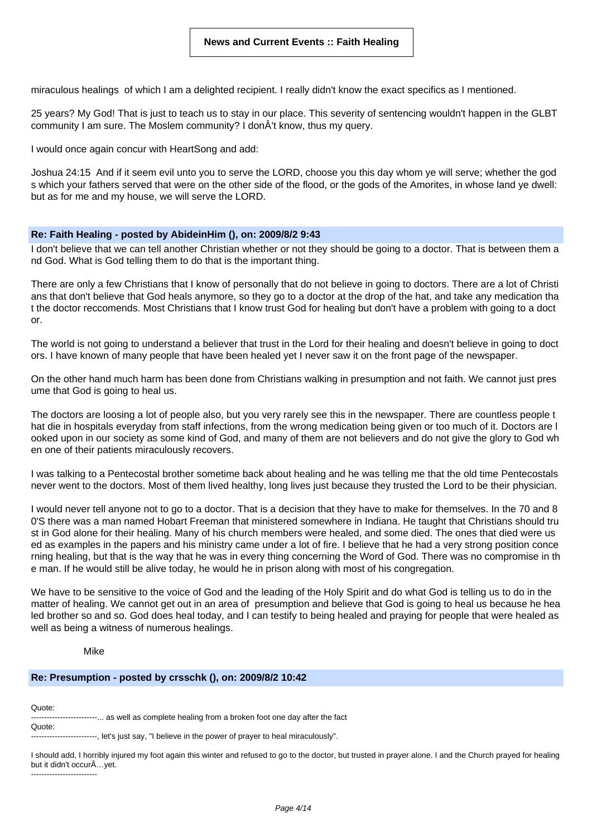miraculous healings of which I am a delighted recipient. I really didn't know the exact specifics as I mentioned.

25 years? My God! That is just to teach us to stay in our place. This severity of sentencing wouldn't happen in the GLBT community I am sure. The Moslem community? I donÂ't know, thus my query.

I would once again concur with HeartSong and add:

Joshua 24:15 And if it seem evil unto you to serve the LORD, choose you this day whom ye will serve; whether the god s which your fathers served that were on the other side of the flood, or the gods of the Amorites, in whose land ye dwell: but as for me and my house, we will serve the LORD.

### **Re: Faith Healing - posted by AbideinHim (), on: 2009/8/2 9:43**

I don't believe that we can tell another Christian whether or not they should be going to a doctor. That is between them a nd God. What is God telling them to do that is the important thing.

There are only a few Christians that I know of personally that do not believe in going to doctors. There are a lot of Christi ans that don't believe that God heals anymore, so they go to a doctor at the drop of the hat, and take any medication tha t the doctor reccomends. Most Christians that I know trust God for healing but don't have a problem with going to a doct or.

The world is not going to understand a believer that trust in the Lord for their healing and doesn't believe in going to doct ors. I have known of many people that have been healed yet I never saw it on the front page of the newspaper.

On the other hand much harm has been done from Christians walking in presumption and not faith. We cannot just pres ume that God is going to heal us.

The doctors are loosing a lot of people also, but you very rarely see this in the newspaper. There are countless people t hat die in hospitals everyday from staff infections, from the wrong medication being given or too much of it. Doctors are l ooked upon in our society as some kind of God, and many of them are not believers and do not give the glory to God wh en one of their patients miraculously recovers.

I was talking to a Pentecostal brother sometime back about healing and he was telling me that the old time Pentecostals never went to the doctors. Most of them lived healthy, long lives just because they trusted the Lord to be their physician.

I would never tell anyone not to go to a doctor. That is a decision that they have to make for themselves. In the 70 and 8 0'S there was a man named Hobart Freeman that ministered somewhere in Indiana. He taught that Christians should tru st in God alone for their healing. Many of his church members were healed, and some died. The ones that died were us ed as examples in the papers and his ministry came under a lot of fire. I believe that he had a very strong position conce rning healing, but that is the way that he was in every thing concerning the Word of God. There was no compromise in th e man. If he would still be alive today, he would he in prison along with most of his congregation.

We have to be sensitive to the voice of God and the leading of the Holy Spirit and do what God is telling us to do in the matter of healing. We cannot get out in an area of presumption and believe that God is going to heal us because he hea led brother so and so. God does heal today, and I can testify to being healed and praying for people that were healed as well as being a witness of numerous healings.

# Mike

### **Re: Presumption - posted by crsschk (), on: 2009/8/2 10:42**

Quote: Quote:

--------... as well as complete healing from a broken foot one day after the fact

-------. let's just say. "I believe in the power of prayer to heal miraculously".

I should add, I horribly injured my foot again this winter and refused to go to the doctor, but trusted in prayer alone. I and the Church prayed for healing but it didn't occurÂ…yet. -------------------------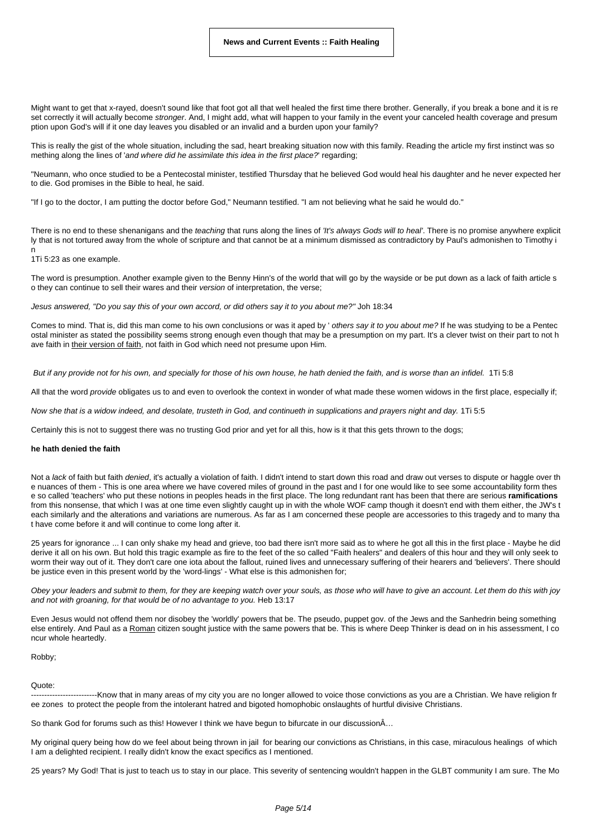Might want to get that x-rayed, doesn't sound like that foot got all that well healed the first time there brother. Generally, if you break a bone and it is re set correctly it will actually become stronger. And, I might add, what will happen to your family in the event your canceled health coverage and presum ption upon God's will if it one day leaves you disabled or an invalid and a burden upon your family?

This is really the gist of the whole situation, including the sad, heart breaking situation now with this family. Reading the article my first instinct was so mething along the lines of 'and where did he assimilate this idea in the first place?' regarding;

"Neumann, who once studied to be a Pentecostal minister, testified Thursday that he believed God would heal his daughter and he never expected her to die. God promises in the Bible to heal, he said.

"If I go to the doctor, I am putting the doctor before God," Neumann testified. "I am not believing what he said he would do."

There is no end to these shenanigans and the teaching that runs along the lines of 'It's always Gods will to heal'. There is no promise anywhere explicit ly that is not tortured away from the whole of scripture and that cannot be at a minimum dismissed as contradictory by Paul's admonishen to Timothy i n

#### 1Ti 5:23 as one example.

The word is presumption. Another example given to the Benny Hinn's of the world that will go by the wayside or be put down as a lack of faith article s o they can continue to sell their wares and their version of interpretation, the verse;

Jesus answered, "Do you say this of your own accord, or did others say it to you about me?" Joh 18:34

Comes to mind. That is, did this man come to his own conclusions or was it aped by 'others say it to you about me? If he was studying to be a Pentec ostal minister as stated the possibility seems strong enough even though that may be a presumption on my part. It's a clever twist on their part to not h ave faith in their version of faith, not faith in God which need not presume upon Him.

But if any provide not for his own, and specially for those of his own house, he hath denied the faith, and is worse than an infidel. 1Ti 5:8

All that the word provide obligates us to and even to overlook the context in wonder of what made these women widows in the first place, especially if;

Now she that is a widow indeed, and desolate, trusteth in God, and continueth in supplications and prayers night and day. 1Ti 5:5

Certainly this is not to suggest there was no trusting God prior and yet for all this, how is it that this gets thrown to the dogs;

#### **he hath denied the faith**

Not a lack of faith but faith denied, it's actually a violation of faith. I didn't intend to start down this road and draw out verses to dispute or haggle over th e nuances of them - This is one area where we have covered miles of ground in the past and I for one would like to see some accountability form thes e so called 'teachers' who put these notions in peoples heads in the first place. The long redundant rant has been that there are serious **ramifications** from this nonsense, that which I was at one time even slightly caught up in with the whole WOF camp though it doesn't end with them either, the JW's t each similarly and the alterations and variations are numerous. As far as I am concerned these people are accessories to this tragedy and to many tha t have come before it and will continue to come long after it.

25 years for ignorance ... I can only shake my head and grieve, too bad there isn't more said as to where he got all this in the first place - Maybe he did derive it all on his own. But hold this tragic example as fire to the feet of the so called "Faith healers" and dealers of this hour and they will only seek to worm their way out of it. They don't care one iota about the fallout, ruined lives and unnecessary suffering of their hearers and 'believers'. There should be justice even in this present world by the 'word-lings' - What else is this admonishen for;

Obey your leaders and submit to them, for they are keeping watch over your souls, as those who will have to give an account. Let them do this with joy and not with groaning, for that would be of no advantage to you. Heb 13:17

Even Jesus would not offend them nor disobey the 'worldly' powers that be. The pseudo, puppet gov. of the Jews and the Sanhedrin being something else entirely. And Paul as a Roman citizen sought justice with the same powers that be. This is where Deep Thinker is dead on in his assessment, I co ncur whole heartedly.

Robby;

#### Quote:

--------Know that in many areas of my city you are no longer allowed to voice those convictions as you are a Christian. We have religion fr ee zones to protect the people from the intolerant hatred and bigoted homophobic onslaughts of hurtful divisive Christians.

So thank God for forums such as this! However I think we have begun to bifurcate in our discussionÂ…

My original query being how do we feel about being thrown in jail for bearing our convictions as Christians, in this case, miraculous healings of which I am a delighted recipient. I really didn't know the exact specifics as I mentioned.

25 years? My God! That is just to teach us to stay in our place. This severity of sentencing wouldn't happen in the GLBT community I am sure. The Mo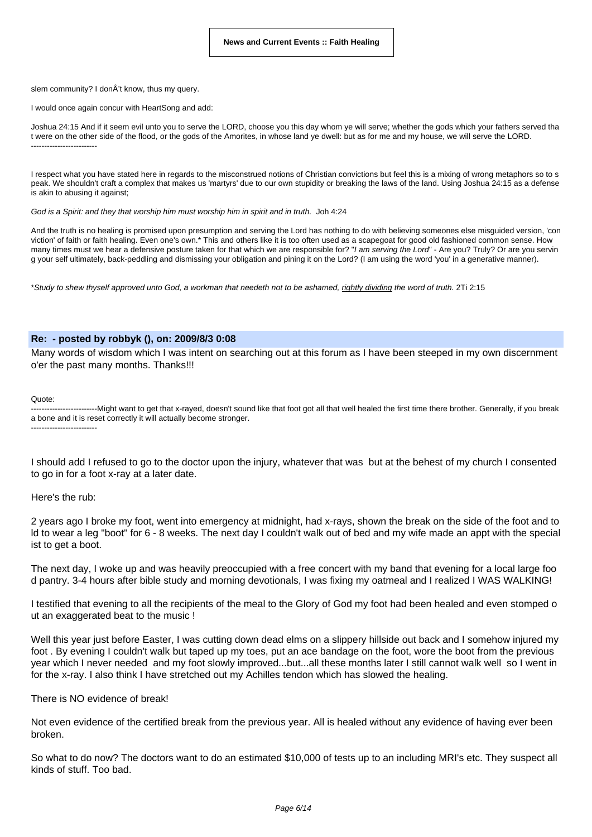slem community? I donÂ't know, thus my query.

I would once again concur with HeartSong and add:

Joshua 24:15 And if it seem evil unto you to serve the LORD, choose you this day whom ye will serve; whether the gods which your fathers served tha t were on the other side of the flood, or the gods of the Amorites, in whose land ye dwell: but as for me and my house, we will serve the LORD. -------------------------

I respect what you have stated here in regards to the misconstrued notions of Christian convictions but feel this is a mixing of wrong metaphors so to s peak. We shouldn't craft a complex that makes us 'martyrs' due to our own stupidity or breaking the laws of the land. Using Joshua 24:15 as a defense is akin to abusing it against;

God is a Spirit: and they that worship him must worship him in spirit and in truth. Joh 4:24

And the truth is no healing is promised upon presumption and serving the Lord has nothing to do with believing someones else misguided version, 'con viction' of faith or faith healing. Even one's own.\* This and others like it is too often used as a scapegoat for good old fashioned common sense. How many times must we hear a defensive posture taken for that which we are responsible for? "I am serving the Lord" - Are you? Truly? Or are you serving the serving the Lord" - Are you? Truly? Or are you serving g your self ultimately, back-peddling and dismissing your obligation and pining it on the Lord? (I am using the word 'you' in a generative manner).

\*Study to shew thyself approved unto God, a workman that needeth not to be ashamed, rightly dividing the word of truth. 2Ti 2:15

### **Re: - posted by robbyk (), on: 2009/8/3 0:08**

Many words of wisdom which I was intent on searching out at this forum as I have been steeped in my own discernment o'er the past many months. Thanks!!!

Quote:

--------------------------------Might want to get that x-rayed, doesn't sound like that foot got all that well healed the first time there brother. Generally, if you break a bone and it is reset correctly it will actually become stronger. -------------------------

I should add I refused to go to the doctor upon the injury, whatever that was but at the behest of my church I consented to go in for a foot x-ray at a later date.

Here's the rub:

2 years ago I broke my foot, went into emergency at midnight, had x-rays, shown the break on the side of the foot and to ld to wear a leg "boot" for 6 - 8 weeks. The next day I couldn't walk out of bed and my wife made an appt with the special ist to get a boot.

The next day, I woke up and was heavily preoccupied with a free concert with my band that evening for a local large foo d pantry. 3-4 hours after bible study and morning devotionals, I was fixing my oatmeal and I realized I WAS WALKING!

I testified that evening to all the recipients of the meal to the Glory of God my foot had been healed and even stomped o ut an exaggerated beat to the music !

Well this year just before Easter, I was cutting down dead elms on a slippery hillside out back and I somehow injured my foot . By evening I couldn't walk but taped up my toes, put an ace bandage on the foot, wore the boot from the previous year which I never needed and my foot slowly improved...but...all these months later I still cannot walk well so I went in for the x-ray. I also think I have stretched out my Achilles tendon which has slowed the healing.

There is NO evidence of break!

Not even evidence of the certified break from the previous year. All is healed without any evidence of having ever been broken.

So what to do now? The doctors want to do an estimated \$10,000 of tests up to an including MRI's etc. They suspect all kinds of stuff. Too bad.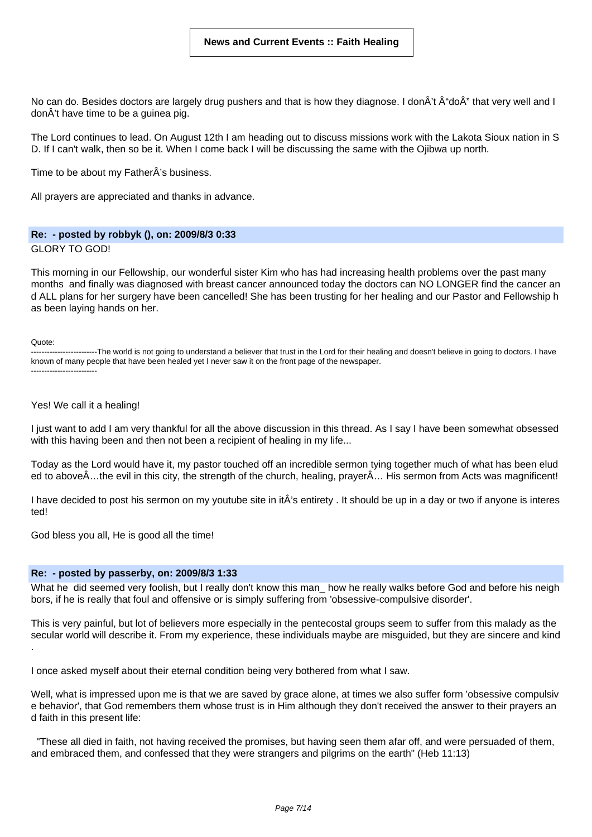No can do. Besides doctors are largely drug pushers and that is how they diagnose. I donÂ't doÂ" that very well and I donÂ't have time to be a guinea pig.

The Lord continues to lead. On August 12th I am heading out to discuss missions work with the Lakota Sioux nation in S D. If I can't walk, then so be it. When I come back I will be discussing the same with the Ojibwa up north.

Time to be about my FatherÂ's business.

All prayers are appreciated and thanks in advance.

# **Re: - posted by robbyk (), on: 2009/8/3 0:33**

GLORY TO GOD!

This morning in our Fellowship, our wonderful sister Kim who has had increasing health problems over the past many months and finally was diagnosed with breast cancer announced today the doctors can NO LONGER find the cancer an d ALL plans for her surgery have been cancelled! She has been trusting for her healing and our Pastor and Fellowship h as been laying hands on her.

Quote:

-------------------------The world is not going to understand a believer that trust in the Lord for their healing and doesn't believe in going to doctors. I have known of many people that have been healed yet I never saw it on the front page of the newspaper. -------------------------

### Yes! We call it a healing!

I just want to add I am very thankful for all the above discussion in this thread. As I say I have been somewhat obsessed with this having been and then not been a recipient of healing in my life...

Today as the Lord would have it, my pastor touched off an incredible sermon tying together much of what has been elud ed to aboveÂ…the evil in this city, the strength of the church, healing, prayerÂ… His sermon from Acts was magnificent!

I have decided to post his sermon on my youtube site in itÂ's entirety . It should be up in a day or two if anyone is interes ted!

God bless you all, He is good all the time!

# **Re: - posted by passerby, on: 2009/8/3 1:33**

What he did seemed very foolish, but I really don't know this man\_ how he really walks before God and before his neigh bors, if he is really that foul and offensive or is simply suffering from 'obsessive-compulsive disorder'.

This is very painful, but lot of believers more especially in the pentecostal groups seem to suffer from this malady as the secular world will describe it. From my experience, these individuals maybe are misguided, but they are sincere and kind .

I once asked myself about their eternal condition being very bothered from what I saw.

Well, what is impressed upon me is that we are saved by grace alone, at times we also suffer form 'obsessive compulsiv e behavior', that God remembers them whose trust is in Him although they don't received the answer to their prayers an d faith in this present life:

"These all died in faith, not having received the promises, but having seen them afar off, and were persuaded of them, and embraced them, and confessed that they were strangers and pilgrims on the earth" (Heb 11:13)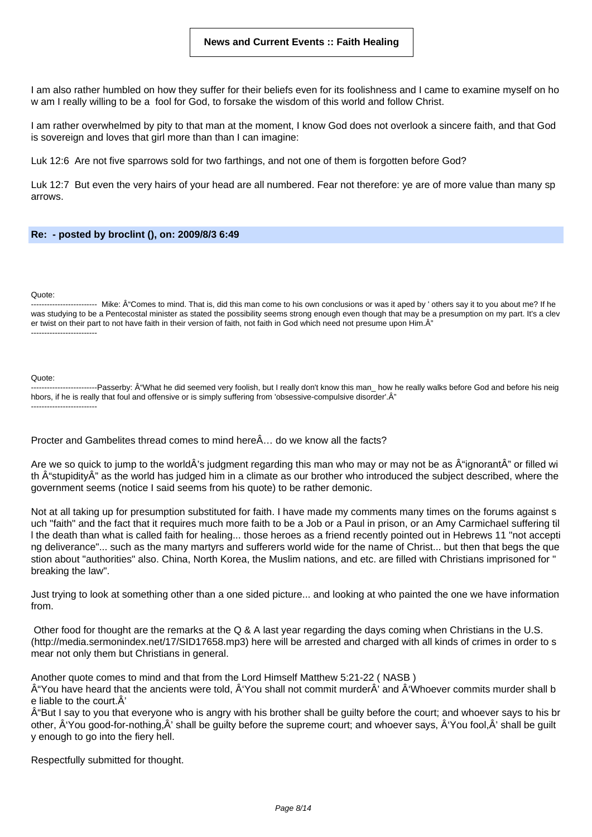I am also rather humbled on how they suffer for their beliefs even for its foolishness and I came to examine myself on ho w am I really willing to be a fool for God, to forsake the wisdom of this world and follow Christ.

I am rather overwhelmed by pity to that man at the moment, I know God does not overlook a sincere faith, and that God is sovereign and loves that girl more than than I can imagine:

Luk 12:6 Are not five sparrows sold for two farthings, and not one of them is forgotten before God?

Luk 12:7 But even the very hairs of your head are all numbered. Fear not therefore: ye are of more value than many sp arrows.

### **Re: - posted by broclint (), on: 2009/8/3 6:49**

#### Quote:

------------ Mike: Â Comes to mind. That is, did this man come to his own conclusions or was it aped by ' others say it to you about me? If he was studying to be a Pentecostal minister as stated the possibility seems strong enough even though that may be a presumption on my part. It's a clev er twist on their part to not have faith in their version of faith, not faith in God which need not presume upon Him. $\hat{A}$ " -------------------------

#### Quote:

-------------------------Passerby: "What he did seemed very foolish, but I really don't know this man\_ how he really walks before God and before his neig hbors, if he is really that foul and offensive or is simply suffering from 'obsessive-compulsive disorder'. A" -------------------------

Procter and Gambelites thread comes to mind hereÂ… do we know all the facts?

Are we so quick to jump to the worldÂ's judgment regarding this man who may or may not be as  $\hat{A}$ "ignorantÂ" or filled wi th  $\hat{A}$ "stupidity $\hat{A}$ " as the world has judged him in a climate as our brother who introduced the subject described, where the government seems (notice I said seems from his quote) to be rather demonic.

Not at all taking up for presumption substituted for faith. I have made my comments many times on the forums against s uch "faith" and the fact that it requires much more faith to be a Job or a Paul in prison, or an Amy Carmichael suffering til l the death than what is called faith for healing... those heroes as a friend recently pointed out in Hebrews 11 "not accepti ng deliverance"... such as the many martyrs and sufferers world wide for the name of Christ... but then that begs the que stion about "authorities" also. China, North Korea, the Muslim nations, and etc. are filled with Christians imprisoned for " breaking the law".

Just trying to look at something other than a one sided picture... and looking at who painted the one we have information from.

Other food for thought are the remarks at the Q & A last year regarding the days coming when Christians in the U.S. (http://media.sermonindex.net/17/SID17658.mp3) here will be arrested and charged with all kinds of crimes in order to s mear not only them but Christians in general.

Another quote comes to mind and that from the Lord Himself Matthew 5:21-22 ( NASB )

 $\hat{A}$ "You have heard that the ancients were told,  $\hat{A}$ "You shall not commit murder $\hat{A}$ ' and  $\hat{A}$ "Whoever commits murder shall b e liable to the court.Â'

"But I say to you that everyone who is angry with his brother shall be guilty before the court; and whoever says to his br other,  $\hat{A}$ 'You good-for-nothing, $\hat{A}$ ' shall be guilty before the supreme court; and whoever says,  $\hat{A}$ 'You fool, $\hat{A}$ ' shall be guilt y enough to go into the fiery hell.

Respectfully submitted for thought.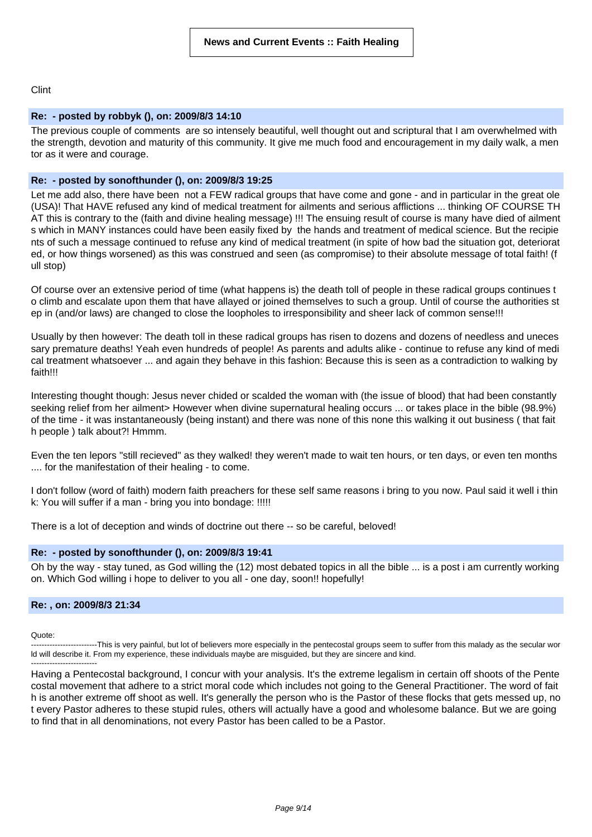Clint

# **Re: - posted by robbyk (), on: 2009/8/3 14:10**

The previous couple of comments are so intensely beautiful, well thought out and scriptural that I am overwhelmed with the strength, devotion and maturity of this community. It give me much food and encouragement in my daily walk, a men tor as it were and courage.

# **Re: - posted by sonofthunder (), on: 2009/8/3 19:25**

Let me add also, there have been not a FEW radical groups that have come and gone - and in particular in the great ole (USA)! That HAVE refused any kind of medical treatment for ailments and serious afflictions ... thinking OF COURSE TH AT this is contrary to the (faith and divine healing message) !!! The ensuing result of course is many have died of ailment s which in MANY instances could have been easily fixed by the hands and treatment of medical science. But the recipie nts of such a message continued to refuse any kind of medical treatment (in spite of how bad the situation got, deteriorat ed, or how things worsened) as this was construed and seen (as compromise) to their absolute message of total faith! (f ull stop)

Of course over an extensive period of time (what happens is) the death toll of people in these radical groups continues t o climb and escalate upon them that have allayed or joined themselves to such a group. Until of course the authorities st ep in (and/or laws) are changed to close the loopholes to irresponsibility and sheer lack of common sense!!!

Usually by then however: The death toll in these radical groups has risen to dozens and dozens of needless and uneces sary premature deaths! Yeah even hundreds of people! As parents and adults alike - continue to refuse any kind of medi cal treatment whatsoever ... and again they behave in this fashion: Because this is seen as a contradiction to walking by faith!!!

Interesting thought though: Jesus never chided or scalded the woman with (the issue of blood) that had been constantly seeking relief from her ailment> However when divine supernatural healing occurs ... or takes place in the bible (98.9%) of the time - it was instantaneously (being instant) and there was none of this none this walking it out business ( that fait h people ) talk about?! Hmmm.

Even the ten lepors "still recieved" as they walked! they weren't made to wait ten hours, or ten days, or even ten months .... for the manifestation of their healing - to come.

I don't follow (word of faith) modern faith preachers for these self same reasons i bring to you now. Paul said it well i thin k: You will suffer if a man - bring you into bondage: !!!!!

There is a lot of deception and winds of doctrine out there -- so be careful, beloved!

# **Re: - posted by sonofthunder (), on: 2009/8/3 19:41**

Oh by the way - stay tuned, as God willing the (12) most debated topics in all the bible ... is a post i am currently working on. Which God willing i hope to deliver to you all - one day, soon!! hopefully!

# **Re: , on: 2009/8/3 21:34**

Quote:

----This is very painful, but lot of believers more especially in the pentecostal groups seem to suffer from this malady as the secular wor ld will describe it. From my experience, these individuals maybe are misguided, but they are sincere and kind. -------------------------

Having a Pentecostal background, I concur with your analysis. It's the extreme legalism in certain off shoots of the Pente costal movement that adhere to a strict moral code which includes not going to the General Practitioner. The word of fait h is another extreme off shoot as well. It's generally the person who is the Pastor of these flocks that gets messed up, no t every Pastor adheres to these stupid rules, others will actually have a good and wholesome balance. But we are going to find that in all denominations, not every Pastor has been called to be a Pastor.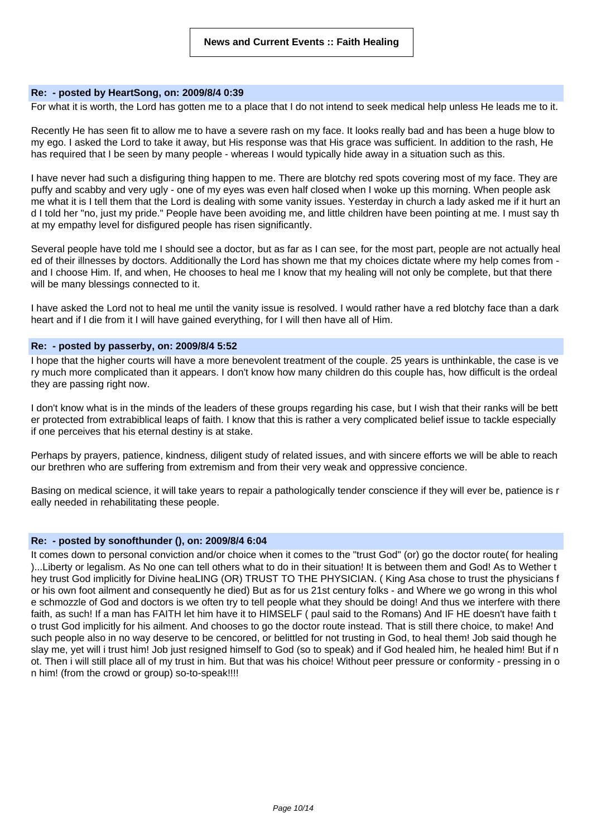# **Re: - posted by HeartSong, on: 2009/8/4 0:39**

For what it is worth, the Lord has gotten me to a place that I do not intend to seek medical help unless He leads me to it.

Recently He has seen fit to allow me to have a severe rash on my face. It looks really bad and has been a huge blow to my ego. I asked the Lord to take it away, but His response was that His grace was sufficient. In addition to the rash, He has required that I be seen by many people - whereas I would typically hide away in a situation such as this.

I have never had such a disfiguring thing happen to me. There are blotchy red spots covering most of my face. They are puffy and scabby and very ugly - one of my eyes was even half closed when I woke up this morning. When people ask me what it is I tell them that the Lord is dealing with some vanity issues. Yesterday in church a lady asked me if it hurt an d I told her "no, just my pride." People have been avoiding me, and little children have been pointing at me. I must say th at my empathy level for disfigured people has risen significantly.

Several people have told me I should see a doctor, but as far as I can see, for the most part, people are not actually heal ed of their illnesses by doctors. Additionally the Lord has shown me that my choices dictate where my help comes from and I choose Him. If, and when, He chooses to heal me I know that my healing will not only be complete, but that there will be many blessings connected to it.

I have asked the Lord not to heal me until the vanity issue is resolved. I would rather have a red blotchy face than a dark heart and if I die from it I will have gained everything, for I will then have all of Him.

### **Re: - posted by passerby, on: 2009/8/4 5:52**

I hope that the higher courts will have a more benevolent treatment of the couple. 25 years is unthinkable, the case is ve ry much more complicated than it appears. I don't know how many children do this couple has, how difficult is the ordeal they are passing right now.

I don't know what is in the minds of the leaders of these groups regarding his case, but I wish that their ranks will be bett er protected from extrabiblical leaps of faith. I know that this is rather a very complicated belief issue to tackle especially if one perceives that his eternal destiny is at stake.

Perhaps by prayers, patience, kindness, diligent study of related issues, and with sincere efforts we will be able to reach our brethren who are suffering from extremism and from their very weak and oppressive concience.

Basing on medical science, it will take years to repair a pathologically tender conscience if they will ever be, patience is r eally needed in rehabilitating these people.

# **Re: - posted by sonofthunder (), on: 2009/8/4 6:04**

It comes down to personal conviction and/or choice when it comes to the "trust God" (or) go the doctor route( for healing )...Liberty or legalism. As No one can tell others what to do in their situation! It is between them and God! As to Wether t hey trust God implicitly for Divine heaLING (OR) TRUST TO THE PHYSICIAN. ( King Asa chose to trust the physicians f or his own foot ailment and consequently he died) But as for us 21st century folks - and Where we go wrong in this whol e schmozzle of God and doctors is we often try to tell people what they should be doing! And thus we interfere with there faith, as such! If a man has FAITH let him have it to HIMSELF ( paul said to the Romans) And IF HE doesn't have faith t o trust God implicitly for his ailment. And chooses to go the doctor route instead. That is still there choice, to make! And such people also in no way deserve to be cencored, or belittled for not trusting in God, to heal them! Job said though he slay me, yet will i trust him! Job just resigned himself to God (so to speak) and if God healed him, he healed him! But if n ot. Then i will still place all of my trust in him. But that was his choice! Without peer pressure or conformity - pressing in o n him! (from the crowd or group) so-to-speak!!!!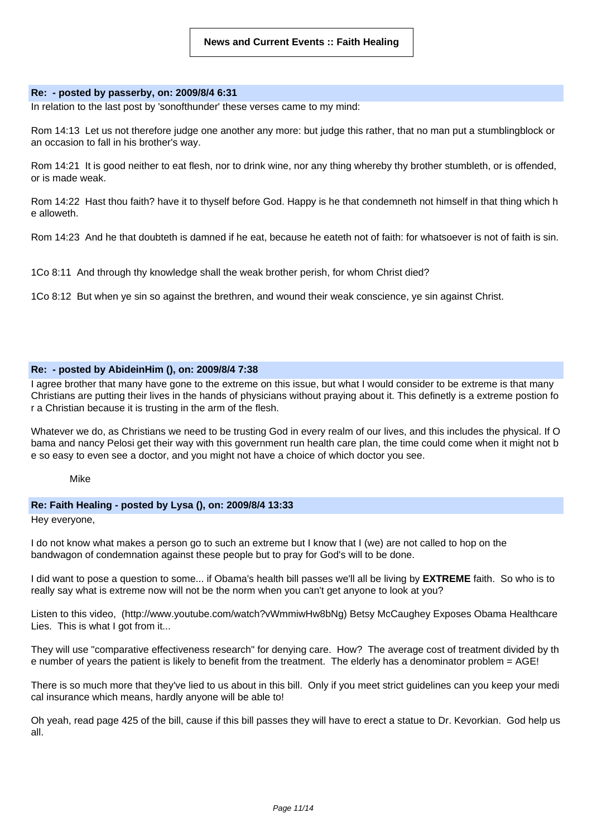### **Re: - posted by passerby, on: 2009/8/4 6:31**

In relation to the last post by 'sonofthunder' these verses came to my mind:

Rom 14:13 Let us not therefore judge one another any more: but judge this rather, that no man put a stumblingblock or an occasion to fall in his brother's way.

Rom 14:21 It is good neither to eat flesh, nor to drink wine, nor any thing whereby thy brother stumbleth, or is offended, or is made weak.

Rom 14:22 Hast thou faith? have it to thyself before God. Happy is he that condemneth not himself in that thing which h e alloweth.

Rom 14:23 And he that doubteth is damned if he eat, because he eateth not of faith: for whatsoever is not of faith is sin.

1Co 8:11 And through thy knowledge shall the weak brother perish, for whom Christ died?

1Co 8:12 But when ye sin so against the brethren, and wound their weak conscience, ye sin against Christ.

# **Re: - posted by AbideinHim (), on: 2009/8/4 7:38**

I agree brother that many have gone to the extreme on this issue, but what I would consider to be extreme is that many Christians are putting their lives in the hands of physicians without praying about it. This definetly is a extreme postion fo r a Christian because it is trusting in the arm of the flesh.

Whatever we do, as Christians we need to be trusting God in every realm of our lives, and this includes the physical. If O bama and nancy Pelosi get their way with this government run health care plan, the time could come when it might not b e so easy to even see a doctor, and you might not have a choice of which doctor you see.

Mike

# **Re: Faith Healing - posted by Lysa (), on: 2009/8/4 13:33**

Hey everyone,

I do not know what makes a person go to such an extreme but I know that I (we) are not called to hop on the bandwagon of condemnation against these people but to pray for God's will to be done.

I did want to pose a question to some... if Obama's health bill passes we'll all be living by **EXTREME** faith. So who is to really say what is extreme now will not be the norm when you can't get anyone to look at you?

Listen to this video, (http://www.youtube.com/watch?vWmmiwHw8bNg) Betsy McCaughey Exposes Obama Healthcare Lies. This is what I got from it...

They will use "comparative effectiveness research" for denying care. How? The average cost of treatment divided by th e number of years the patient is likely to benefit from the treatment. The elderly has a denominator problem = AGE!

There is so much more that they've lied to us about in this bill. Only if you meet strict guidelines can you keep your medi cal insurance which means, hardly anyone will be able to!

Oh yeah, read page 425 of the bill, cause if this bill passes they will have to erect a statue to Dr. Kevorkian. God help us all.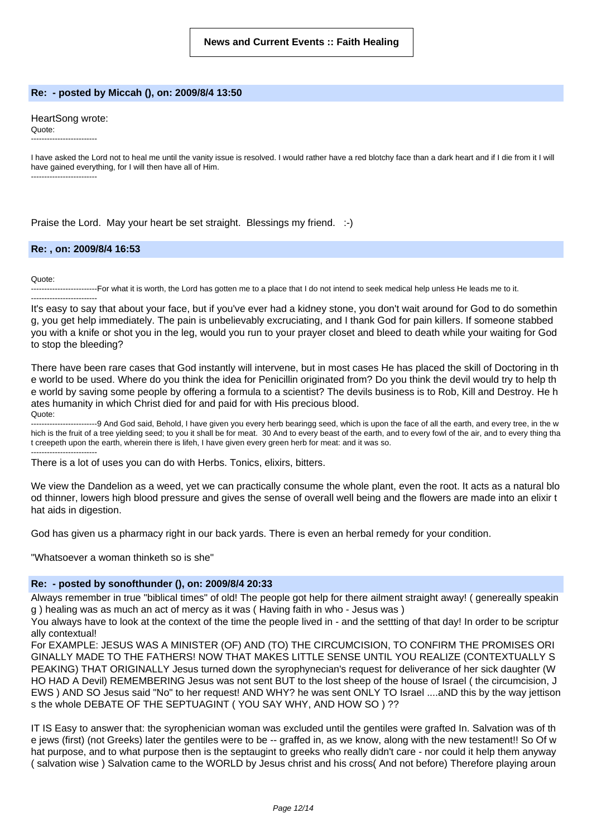### **Re: - posted by Miccah (), on: 2009/8/4 13:50**

### HeartSong wrote:

Quote: -------------------------

I have asked the Lord not to heal me until the vanity issue is resolved. I would rather have a red blotchy face than a dark heart and if I die from it I will have gained everything, for I will then have all of Him. -------------------------

Praise the Lord. May your heart be set straight. Blessings my friend. :-)

### **Re: , on: 2009/8/4 16:53**

Quote:

-------------------------For what it is worth, the Lord has gotten me to a place that I do not intend to seek medical help unless He leads me to it. -------------------------

It's easy to say that about your face, but if you've ever had a kidney stone, you don't wait around for God to do somethin g, you get help immediately. The pain is unbelievably excruciating, and I thank God for pain killers. If someone stabbed you with a knife or shot you in the leg, would you run to your prayer closet and bleed to death while your waiting for God to stop the bleeding?

There have been rare cases that God instantly will intervene, but in most cases He has placed the skill of Doctoring in th e world to be used. Where do you think the idea for Penicillin originated from? Do you think the devil would try to help th e world by saving some people by offering a formula to a scientist? The devils business is to Rob, Kill and Destroy. He h ates humanity in which Christ died for and paid for with His precious blood. Quote:

--9 And God said, Behold, I have given you every herb bearingg seed, which is upon the face of all the earth, and every tree, in the w hich is the fruit of a tree yielding seed; to you it shall be for meat. 30 And to every beast of the earth, and to every fowl of the air, and to every thing tha t creepeth upon the earth, wherein there is lifeh, I have given every green herb for meat: and it was so. -------------------------

There is a lot of uses you can do with Herbs. Tonics, elixirs, bitters.

We view the Dandelion as a weed, yet we can practically consume the whole plant, even the root. It acts as a natural blo od thinner, lowers high blood pressure and gives the sense of overall well being and the flowers are made into an elixir t hat aids in digestion.

God has given us a pharmacy right in our back yards. There is even an herbal remedy for your condition.

"Whatsoever a woman thinketh so is she"

### **Re: - posted by sonofthunder (), on: 2009/8/4 20:33**

Always remember in true "biblical times" of old! The people got help for there ailment straight away! ( genereally speakin g ) healing was as much an act of mercy as it was ( Having faith in who - Jesus was )

You always have to look at the context of the time the people lived in - and the settting of that day! In order to be scriptur ally contextual!

For EXAMPLE: JESUS WAS A MINISTER (OF) AND (TO) THE CIRCUMCISION, TO CONFIRM THE PROMISES ORI GINALLY MADE TO THE FATHERS! NOW THAT MAKES LITTLE SENSE UNTIL YOU REALIZE (CONTEXTUALLY S PEAKING) THAT ORIGINALLY Jesus turned down the syrophynecian's request for deliverance of her sick daughter (W HO HAD A Devil) REMEMBERING Jesus was not sent BUT to the lost sheep of the house of Israel ( the circumcision, J EWS ) AND SO Jesus said "No" to her request! AND WHY? he was sent ONLY TO Israel ....aND this by the way jettison s the whole DEBATE OF THE SEPTUAGINT ( YOU SAY WHY, AND HOW SO ) ??

IT IS Easy to answer that: the syrophenician woman was excluded until the gentiles were grafted In. Salvation was of th e jews (first) (not Greeks) later the gentiles were to be -- graffed in, as we know, along with the new testament!! So Of w hat purpose, and to what purpose then is the septaugint to greeks who really didn't care - nor could it help them anyway ( salvation wise ) Salvation came to the WORLD by Jesus christ and his cross( And not before) Therefore playing aroun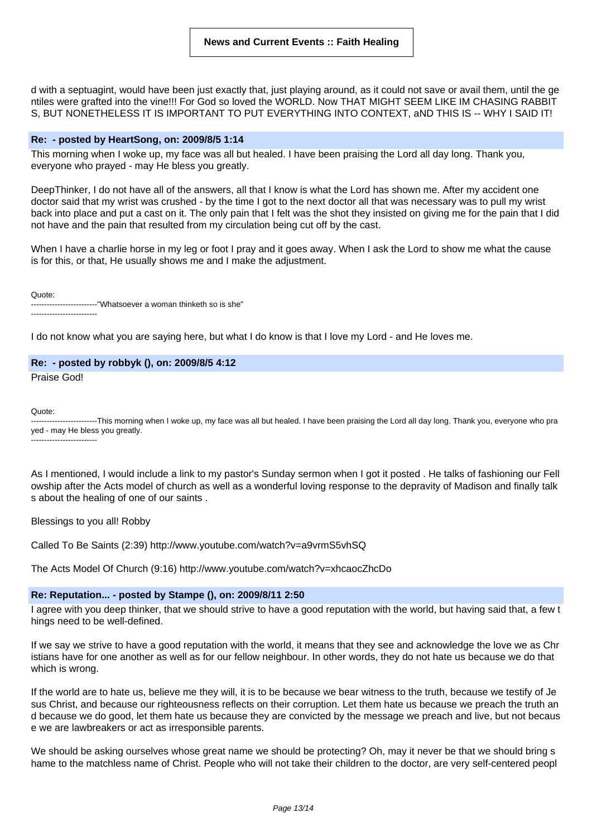d with a septuagint, would have been just exactly that, just playing around, as it could not save or avail them, until the ge ntiles were grafted into the vine!!! For God so loved the WORLD. Now THAT MIGHT SEEM LIKE IM CHASING RABBIT S, BUT NONETHELESS IT IS IMPORTANT TO PUT EVERYTHING INTO CONTEXT, aND THIS IS -- WHY I SAID IT!

# **Re: - posted by HeartSong, on: 2009/8/5 1:14**

This morning when I woke up, my face was all but healed. I have been praising the Lord all day long. Thank you, everyone who prayed - may He bless you greatly.

DeepThinker, I do not have all of the answers, all that I know is what the Lord has shown me. After my accident one doctor said that my wrist was crushed - by the time I got to the next doctor all that was necessary was to pull my wrist back into place and put a cast on it. The only pain that I felt was the shot they insisted on giving me for the pain that I did not have and the pain that resulted from my circulation being cut off by the cast.

When I have a charlie horse in my leg or foot I pray and it goes away. When I ask the Lord to show me what the cause is for this, or that, He usually shows me and I make the adjustment.

Quote:

-------------------------"Whatsoever a woman thinketh so is she" -------------------------

I do not know what you are saying here, but what I do know is that I love my Lord - and He loves me.

### **Re: - posted by robbyk (), on: 2009/8/5 4:12**

Praise God!

Quote:

-------------------------This morning when I woke up, my face was all but healed. I have been praising the Lord all day long. Thank you, everyone who pra yed - may He bless you greatly. -------------------------

As I mentioned, I would include a link to my pastor's Sunday sermon when I got it posted . He talks of fashioning our Fell owship after the Acts model of church as well as a wonderful loving response to the depravity of Madison and finally talk s about the healing of one of our saints .

Blessings to you all! Robby

Called To Be Saints (2:39) http://www.youtube.com/watch?v=a9vrmS5vhSQ

The Acts Model Of Church (9:16) http://www.youtube.com/watch?v=xhcaocZhcDo

# **Re: Reputation... - posted by Stampe (), on: 2009/8/11 2:50**

I agree with you deep thinker, that we should strive to have a good reputation with the world, but having said that, a few t hings need to be well-defined.

If we say we strive to have a good reputation with the world, it means that they see and acknowledge the love we as Chr istians have for one another as well as for our fellow neighbour. In other words, they do not hate us because we do that which is wrong.

If the world are to hate us, believe me they will, it is to be because we bear witness to the truth, because we testify of Je sus Christ, and because our righteousness reflects on their corruption. Let them hate us because we preach the truth an d because we do good, let them hate us because they are convicted by the message we preach and live, but not becaus e we are lawbreakers or act as irresponsible parents.

We should be asking ourselves whose great name we should be protecting? Oh, may it never be that we should bring s hame to the matchless name of Christ. People who will not take their children to the doctor, are very self-centered peopl